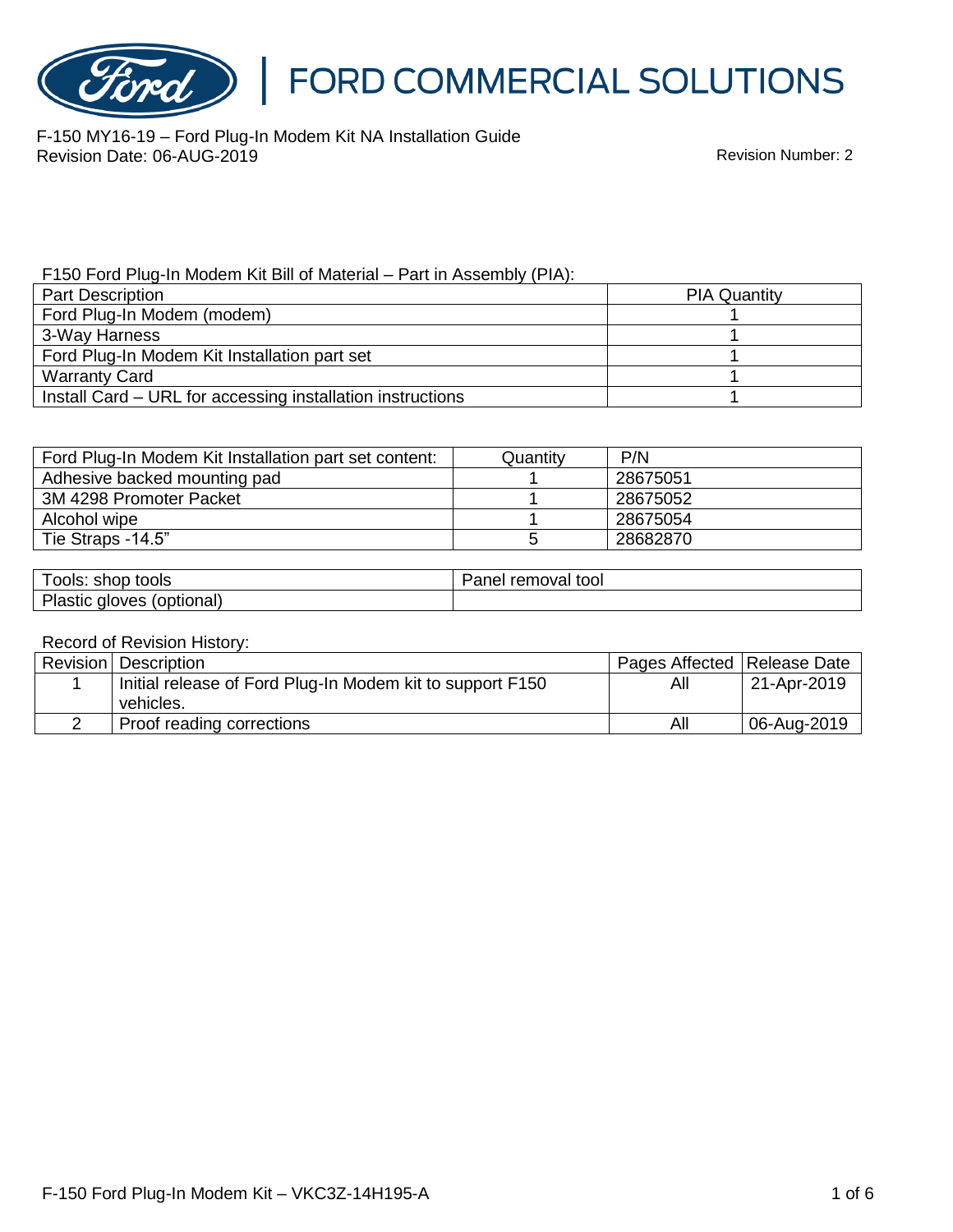

F-150 MY16-19 – Ford Plug-In Modem Kit NA Installation Guide Revision Date: 06-AUG-2019

F150 Ford Plug-In Modem Kit Bill of Material – Part in Assembly (PIA):

| <b>Part Description</b>                                    | <b>PIA Quantity</b> |  |
|------------------------------------------------------------|---------------------|--|
| Ford Plug-In Modem (modem)                                 |                     |  |
| 3-Way Harness                                              |                     |  |
| Ford Plug-In Modem Kit Installation part set               |                     |  |
| <b>Warranty Card</b>                                       |                     |  |
| Install Card – URL for accessing installation instructions |                     |  |

| Ford Plug-In Modem Kit Installation part set content: | Quantity | P/N      |
|-------------------------------------------------------|----------|----------|
| Adhesive backed mounting pad                          |          | 28675051 |
| 3M 4298 Promoter Packet                               |          | 28675052 |
| Alcohol wipe                                          |          | 28675054 |
| Tie Straps -14.5"                                     |          | 28682870 |

| shop<br>tools<br>--<br>OOIS:                | tool<br>removal<br>ane |
|---------------------------------------------|------------------------|
| יוס<br>(optional)<br>วves<br>aic<br>'lastic |                        |

#### Record of Revision History:

| Revision   Description                                    | Pages Affected   Release Date |             |
|-----------------------------------------------------------|-------------------------------|-------------|
| Initial release of Ford Plug-In Modem kit to support F150 | All                           | 21-Apr-2019 |
| vehicles.                                                 |                               |             |
| Proof reading corrections                                 | All                           | 06-Aug-2019 |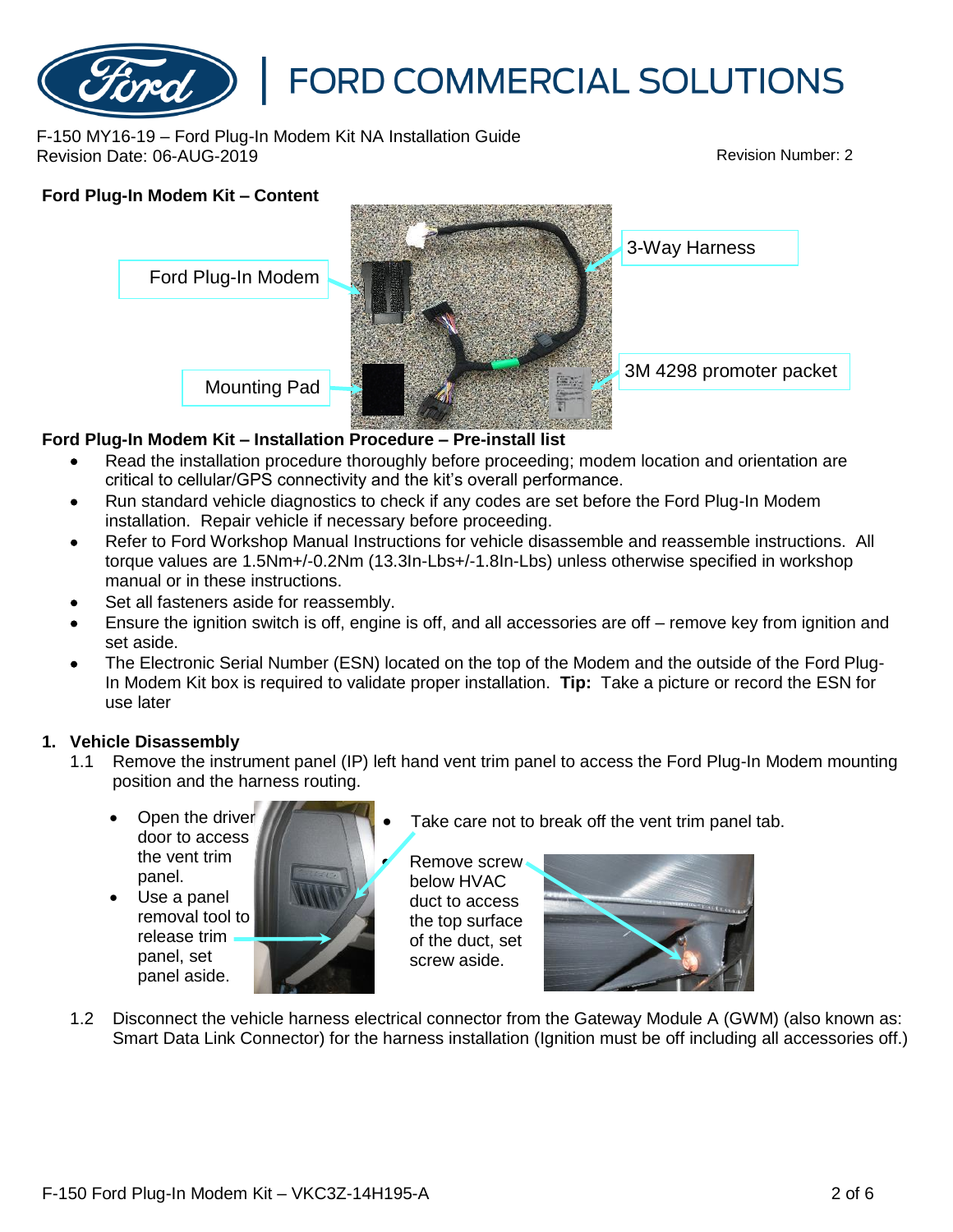#### F-150 MY16-19 – Ford Plug-In Modem Kit NA Installation Guide Revision Date: 06-AUG-2019 Revision Number: 2



#### **Ford Plug-In Modem Kit – Installation Procedure – Pre-install list**

- Read the installation procedure thoroughly before proceeding; modem location and orientation are critical to cellular/GPS connectivity and the kit's overall performance.
- Run standard vehicle diagnostics to check if any codes are set before the Ford Plug-In Modem installation. Repair vehicle if necessary before proceeding.
- Refer to Ford Workshop Manual Instructions for vehicle disassemble and reassemble instructions. All torque values are 1.5Nm+/-0.2Nm (13.3In-Lbs+/-1.8In-Lbs) unless otherwise specified in workshop manual or in these instructions.
- Set all fasteners aside for reassembly.
- Ensure the ignition switch is off, engine is off, and all accessories are off remove key from ignition and set aside.
- The Electronic Serial Number (ESN) located on the top of the Modem and the outside of the Ford Plug-In Modem Kit box is required to validate proper installation. **Tip:** Take a picture or record the ESN for use later

#### **1. Vehicle Disassembly**

- 1.1 Remove the instrument panel (IP) left hand vent trim panel to access the Ford Plug-In Modem mounting position and the harness routing.
	- Open the driver door to access the vent trim panel.
	- Use a panel removal tool to release trim panel, set panel aside.



Take care not to break off the vent trim panel tab.

Remove screw below HVAC duct to access the top surface of the duct, set screw aside.



1.2 Disconnect the vehicle harness electrical connector from the Gateway Module A (GWM) (also known as: Smart Data Link Connector) for the harness installation (Ignition must be off including all accessories off.)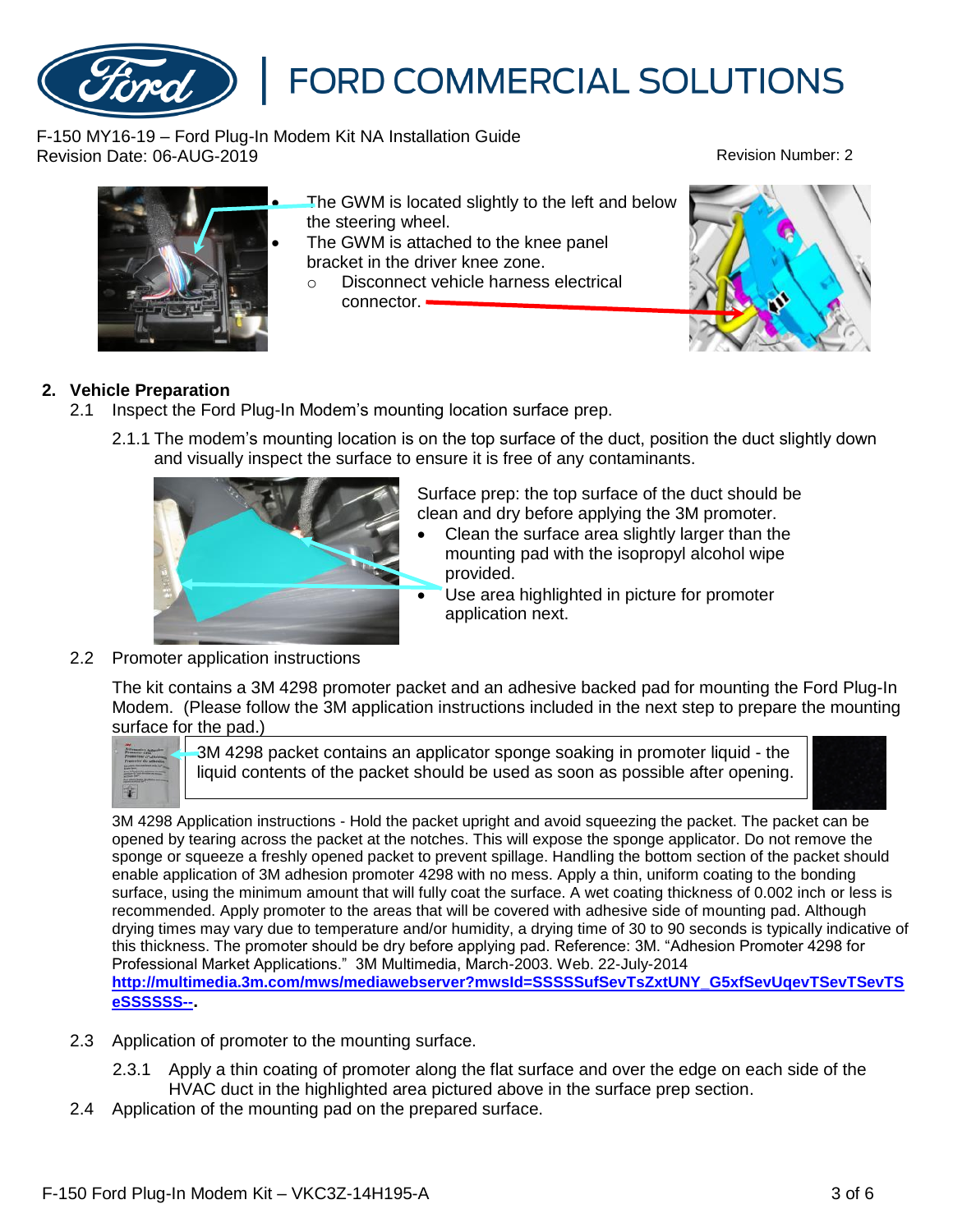F-150 MY16-19 – Ford Plug-In Modem Kit NA Installation Guide Revision Date: 06-AUG-2019 Revision Number: 2

- The GWM is located slightly to the left and below the steering wheel.
- The GWM is attached to the knee panel bracket in the driver knee zone.
- o Disconnect vehicle harness electrical connector.

#### **2. Vehicle Preparation**

- 2.1 Inspect the Ford Plug-In Modem's mounting location surface prep.
	- 2.1.1 The modem's mounting location is on the top surface of the duct, position the duct slightly down and visually inspect the surface to ensure it is free of any contaminants.

Surface prep: the top surface of the duct should be clean and dry before applying the 3M promoter.

- Clean the surface area slightly larger than the mounting pad with the isopropyl alcohol wipe provided.
- Use area highlighted in picture for promoter application next.

#### 2.2 Promoter application instructions

The kit contains a 3M 4298 promoter packet and an adhesive backed pad for mounting the Ford Plug-In Modem. (Please follow the 3M application instructions included in the next step to prepare the mounting surface for the pad.)



3M 4298 packet contains an applicator sponge soaking in promoter liquid - the liquid contents of the packet should be used as soon as possible after opening.

3M 4298 Application instructions - Hold the packet upright and avoid squeezing the packet. The packet can be opened by tearing across the packet at the notches. This will expose the sponge applicator. Do not remove the sponge or squeeze a freshly opened packet to prevent spillage. Handling the bottom section of the packet should enable application of 3M adhesion promoter 4298 with no mess. Apply a thin, uniform coating to the bonding surface, using the minimum amount that will fully coat the surface. A wet coating thickness of 0.002 inch or less is recommended. Apply promoter to the areas that will be covered with adhesive side of mounting pad. Although drying times may vary due to temperature and/or humidity, a drying time of 30 to 90 seconds is typically indicative of this thickness. The promoter should be dry before applying pad. Reference: 3M. "Adhesion Promoter 4298 for Professional Market Applications." 3M Multimedia, March-2003. Web. 22-July-2014 **[http://multimedia.3m.com/mws/mediawebserver?mwsId=SSSSSufSevTsZxtUNY\\_G5xfSevUqevTSevTSevTS](http://multimedia.3m.com/mws/mediawebserver?mwsId=SSSSSufSevTsZxtUNY_G5xfSevUqevTSevTSevTSeSSSSSS--) [eSSSSSS--](http://multimedia.3m.com/mws/mediawebserver?mwsId=SSSSSufSevTsZxtUNY_G5xfSevUqevTSevTSevTSeSSSSSS--).**

- 2.3 Application of promoter to the mounting surface.
	- 2.3.1 Apply a thin coating of promoter along the flat surface and over the edge on each side of the HVAC duct in the highlighted area pictured above in the surface prep section.
- 2.4 Application of the mounting pad on the prepared surface.



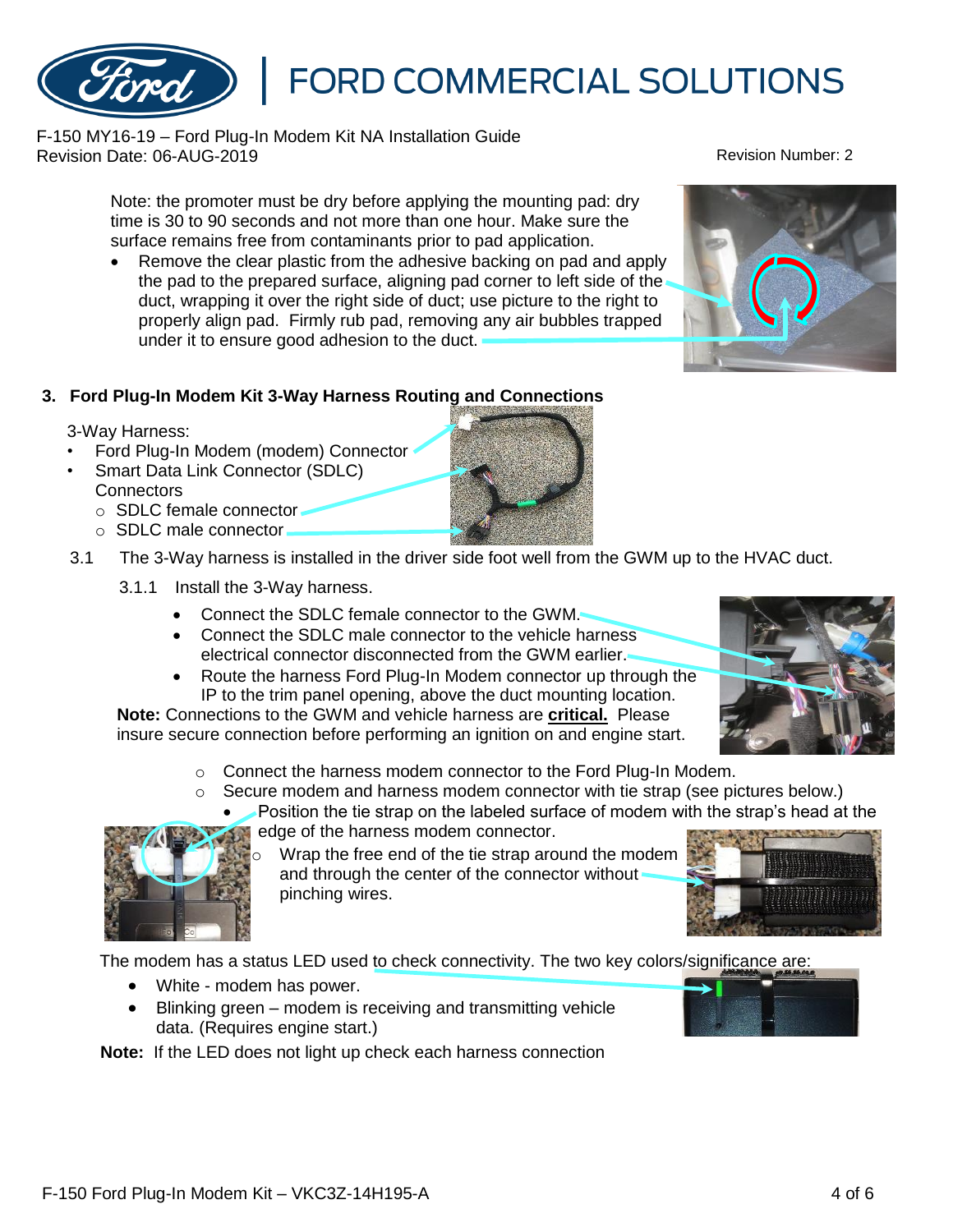### F-150 MY16-19 – Ford Plug-In Modem Kit NA Installation Guide Revision Date: 06-AUG-2019 Revision Number: 2

Note: the promoter must be dry before applying the mounting pad: dry time is 30 to 90 seconds and not more than one hour. Make sure the surface remains free from contaminants prior to pad application.

• Remove the clear plastic from the adhesive backing on pad and apply the pad to the prepared surface, aligning pad corner to left side of the duct, wrapping it over the right side of duct; use picture to the right to properly align pad. Firmly rub pad, removing any air bubbles trapped under it to ensure good adhesion to the duct.

## **3. Ford Plug-In Modem Kit 3-Way Harness Routing and Connections**

## 3-Way Harness:

- Ford Plug-In Modem (modem) Connector
- Smart Data Link Connector (SDLC) **Connectors** 
	- o SDLC female connector
	- o SDLC male connector
- 3.1 The 3-Way harness is installed in the driver side foot well from the GWM up to the HVAC duct.
	- 3.1.1 Install the 3-Way harness.
		- Connect the SDLC female connector to the GWM.
		- Connect the SDLC male connector to the vehicle harness electrical connector disconnected from the GWM earlier.
		- Route the harness Ford Plug-In Modem connector up through the IP to the trim panel opening, above the duct mounting location.

**Note:** Connections to the GWM and vehicle harness are **critical.** Please insure secure connection before performing an ignition on and engine start.

- o Connect the harness modem connector to the Ford Plug-In Modem.
- $\circ$  Secure modem and harness modem connector with tie strap (see pictures below.)
	- Position the tie strap on the labeled surface of modem with the strap's head at the edge of the harness modem connector.
		- Wrap the free end of the tie strap around the modem and through the center of the connector without pinching wires.

The modem has a status LED used to check connectivity. The two key colors/significance are:

- White modem has power.
- Blinking green modem is receiving and transmitting vehicle data. (Requires engine start.)

**Note:** If the LED does not light up check each harness connection











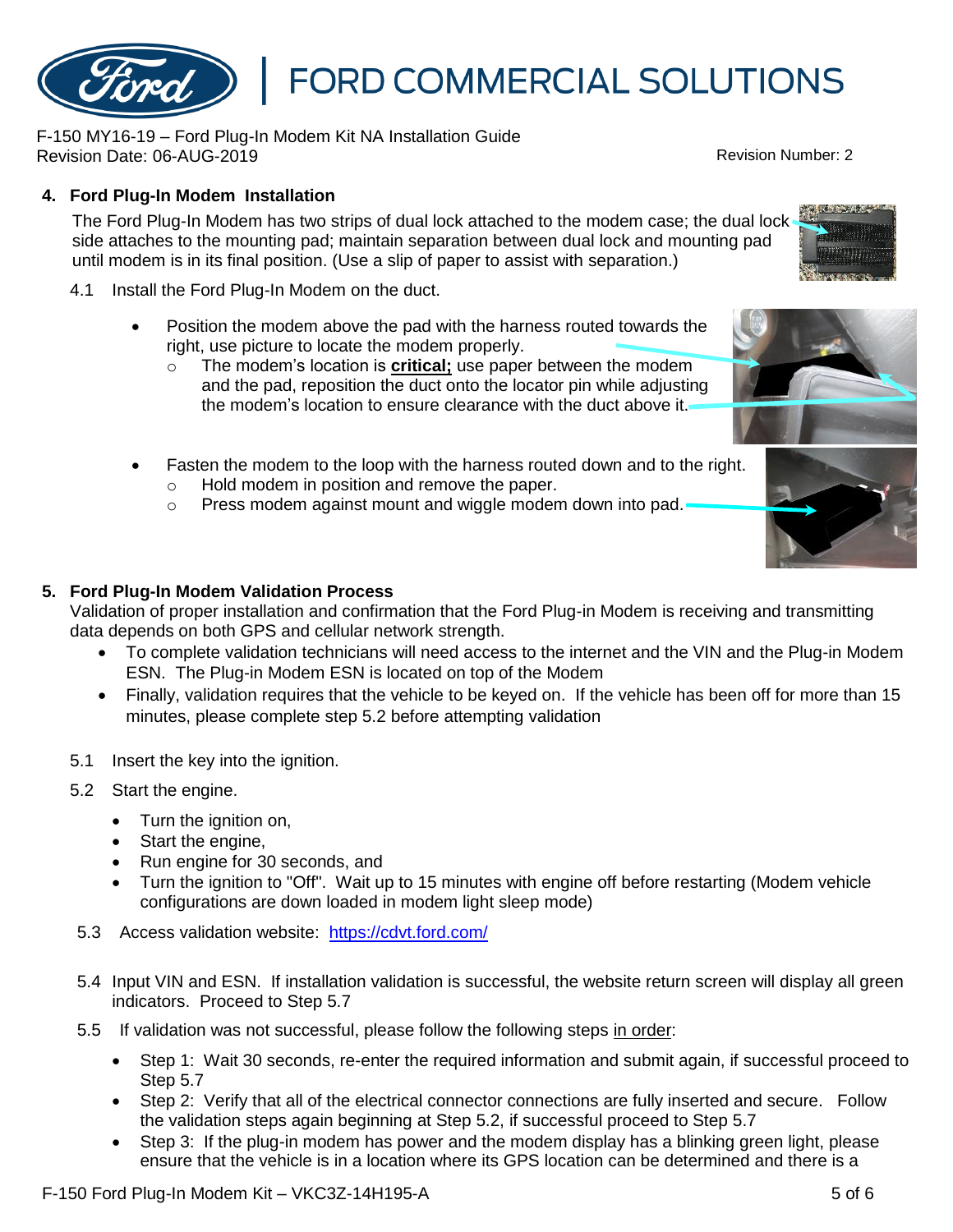F-150 Ford Plug-In Modem Kit – VKC3Z-14H195-A 5 of 6 September 15 of 6 September 15 of 6 September 15 of 6 September 15 of 6 September 15 of 6 September 16 and 16 September 16 September 16 and 16 September 16 September 16

## **4. Ford Plug-In Modem Installation**

The Ford Plug-In Modem has two strips of dual lock attached to the modem case; the dual lock side attaches to the mounting pad; maintain separation between dual lock and mounting pad until modem is in its final position. (Use a slip of paper to assist with separation.)

- 4.1 Install the Ford Plug-In Modem on the duct.
	- Position the modem above the pad with the harness routed towards the right, use picture to locate the modem properly.
		- o The modem's location is **critical;** use paper between the modem and the pad, reposition the duct onto the locator pin while adjusting the modem's location to ensure clearance with the duct above it.
	- Fasten the modem to the loop with the harness routed down and to the right.
		- o Hold modem in position and remove the paper.
		- o Press modem against mount and wiggle modem down into pad.

### **5. Ford Plug-In Modem Validation Process**

Validation of proper installation and confirmation that the Ford Plug-in Modem is receiving and transmitting data depends on both GPS and cellular network strength.

- To complete validation technicians will need access to the internet and the VIN and the Plug-in Modem ESN. The Plug-in Modem ESN is located on top of the Modem
- Finally, validation requires that the vehicle to be keyed on. If the vehicle has been off for more than 15 minutes, please complete step 5.2 before attempting validation
- 5.1 Insert the key into the ignition.
- 5.2 Start the engine.
	- Turn the ignition on,
	- Start the engine,
	- Run engine for 30 seconds, and
	- Turn the ignition to "Off". Wait up to 15 minutes with engine off before restarting (Modem vehicle configurations are down loaded in modem light sleep mode)
- 5.3 Access validation website: <https://cdvt.ford.com/>
- 5.4 Input VIN and ESN. If installation validation is successful, the website return screen will display all green indicators. Proceed to Step 5.7
- 5.5 If validation was not successful, please follow the following steps in order:
	- Step 1: Wait 30 seconds, re-enter the required information and submit again, if successful proceed to Step 5.7
	- Step 2: Verify that all of the electrical connector connections are fully inserted and secure. Follow the validation steps again beginning at Step 5.2, if successful proceed to Step 5.7
	- Step 3: If the plug-in modem has power and the modem display has a blinking green light, please ensure that the vehicle is in a location where its GPS location can be determined and there is a